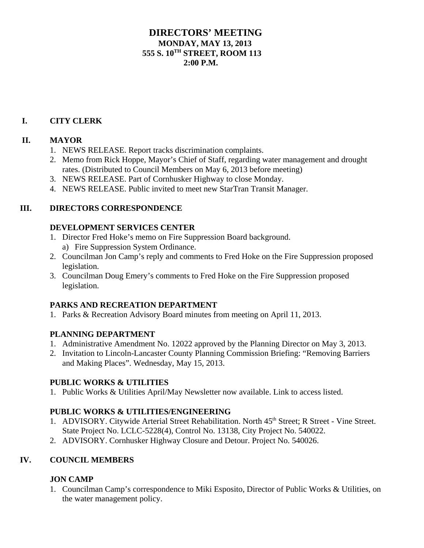## **DIRECTORS' MEETING MONDAY, MAY 13, 2013 555 S. 10TH STREET, ROOM 113**  $2:00 \text{ P M}$

## **I. CITY CLERK**

# **II. MAYOR**

- 1. NEWS RELEASE. Report tracks discrimination complaints.
- 2. Memo from Rick Hoppe, Mayor's Chief of Staff, regarding water management and drought rates. (Distributed to Council Members on May 6, 2013 before meeting)
- 3. NEWS RELEASE. Part of Cornhusker Highway to close Monday.
- 4. NEWS RELEASE. Public invited to meet new StarTran Transit Manager.

#### **III. DIRECTORS CORRESPONDENCE**

#### **DEVELOPMENT SERVICES CENTER**

- 1. Director Fred Hoke's memo on Fire Suppression Board background.
	- a) Fire Suppression System Ordinance.
- 2. Councilman Jon Camp's reply and comments to Fred Hoke on the Fire Suppression proposed legislation.
- 3. Councilman Doug Emery's comments to Fred Hoke on the Fire Suppression proposed legislation.

## **PARKS AND RECREATION DEPARTMENT**

1. Parks & Recreation Advisory Board minutes from meeting on April 11, 2013.

## **PLANNING DEPARTMENT**

- 1. Administrative Amendment No. 12022 approved by the Planning Director on May 3, 2013.
- 2. Invitation to Lincoln-Lancaster County Planning Commission Briefing: "Removing Barriers and Making Places". Wednesday, May 15, 2013.

## **PUBLIC WORKS & UTILITIES**

1. Public Works & Utilities April/May Newsletter now available. Link to access listed.

## **PUBLIC WORKS & UTILITIES/ENGINEERING**

- 1. ADVISORY. Citywide Arterial Street Rehabilitation. North 45<sup>th</sup> Street; R Street Vine Street. State Project No. LCLC-5228(4), Control No. 13138, City Project No. 540022.
- 2. ADVISORY. Cornhusker Highway Closure and Detour. Project No. 540026.

## **IV. COUNCIL MEMBERS**

# **JON CAMP**

1. Councilman Camp's correspondence to Miki Esposito, Director of Public Works & Utilities, on the water management policy.